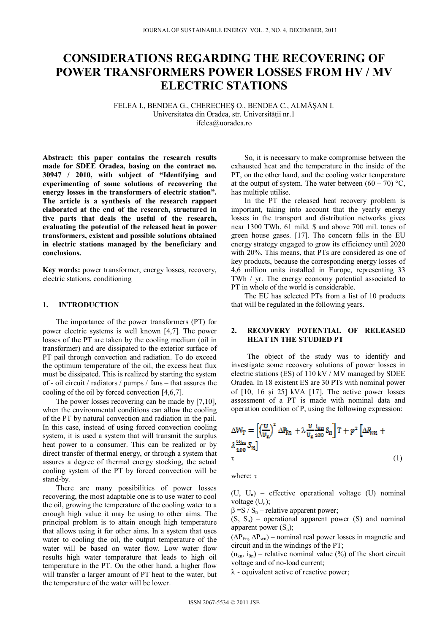# **CONSIDERATIONS REGARDING THE RECOVERING OF POWER TRANSFORMERS POWER LOSSES FROM HV / MV ELECTRIC STATIONS**

FELEA I., BENDEA G., CHERECHEȘ O., BENDEA C., ALMĂȘAN I. Universitatea din Oradea, str. Universității nr.1 ifelea@uoradea.ro

**Abstract: this paper contains the research results made for SDEE Oradea, basing on the contract no. 30947 / 2010, with subject of "Identifying and experimenting of some solutions of recovering the energy losses in the transformers of electric station". The article is a synthesis of the research rapport elaborated at the end of the research, structured in five parts that deals the useful of the research, evaluating the potential of the released heat in power transformers, existent and possible solutions obtained in electric stations managed by the beneficiary and conclusions.** 

**Key words:** power transformer, energy losses, recovery, electric stations, conditioning

# **1. INTRODUCTION**

The importance of the power transformers (PT) for power electric systems is well known 4,7. The power losses of the PT are taken by the cooling medium (oil in transformer) and are dissipated to the exterior surface of PT pail through convection and radiation. To do exceed the optimum temperature of the oil, the excess heat flux must be dissipated. This is realized by starting the system of - oil circuit / radiators / pumps / fans – that assures the cooling of the oil by forced convection [4,6,7].

The power losses recovering can be made by  $[7,10]$ , when the environmental conditions can allow the cooling of the PT by natural convection and radiation in the pail. In this case, instead of using forced convection cooling system, it is used a system that will transmit the surplus heat power to a consumer. This can be realized or by direct transfer of thermal energy, or through a system that assures a degree of thermal energy stocking, the actual cooling system of the PT by forced convection will be stand-by.

There are many possibilities of power losses recovering, the most adaptable one is to use water to cool the oil, growing the temperature of the cooling water to a enough high value it may be using to other aims. The principal problem is to attain enough high temperature that allows using it for other aims. In a system that uses water to cooling the oil, the output temperature of the water will be based on water flow. Low water flow results high water temperature that leads to high oil temperature in the PT. On the other hand, a higher flow will transfer a larger amount of PT heat to the water, but the temperature of the water will be lower.

So, it is necessary to make compromise between the exhausted heat and the temperature in the inside of the PT, on the other hand, and the cooling water temperature at the output of system. The water between  $(60 - 70)$  °C, has multiple utilise.

In the PT the released heat recovery problem is important, taking into account that the yearly energy losses in the transport and distribution networks gives near 1300 TWh, 61 mild. \$ and above 700 mil. tones of green house gases. [17]. The concern falls in the EU energy strategy engaged to grow its efficiency until 2020 with 20%. This means, that PTs are considered as one of key products, because the corresponding energy losses of 4,6 million units installed in Europe, representing 33 TWh / yr. The energy economy potential associated to PT in whole of the world is considerable.

The EU has selected PTs from a list of 10 products that will be regulated in the following years.

## **2. RECOVERY POTENTIAL OF RELEASED HEAT IN THE STUDIED PT**

The object of the study was to identify and investigate some recovery solutions of power losses in electric stations (ES) of 110 kV / MV managed by SDEE Oradea. In 18 existent ES are 30 PTs with nominal power of  $[10, 16 \text{ și } 25]$  kVA  $[17]$ . The active power losses assessment of a PT is made with nominal data and operation condition of P, using the following expression:

$$
\Delta W_{\rm T} = \left[ \left( \frac{U}{U_{\rm n}} \right)^2 \Delta P_{\rm Bn} + \lambda \frac{U}{U_{\rm n} \cos} S_{\rm n} \right] T + p^2 \left[ \Delta P_{\rm WB} + \lambda \frac{u_{\rm km}}{100} S_{\rm n} \right]
$$
  
\n
$$
\tau \tag{1}
$$

where:  $\tau$ 

 $(U, U_n)$  – effective operational voltage  $(U)$  nominal voltage  $(U_n)$ ;

 $\beta = S / S_n$  – relative apparent power;

 $(S, S_n)$  – operational apparent power  $(S)$  and nominal apparent power  $(S_n)$ ;

 $(\Delta P_{Fn}, \Delta P_{wn})$  – nominal real power losses in magnetic and circuit and in the windings of the PT;

 $(u_{kn}, i_{0n})$  – relative nominal value (%) of the short circuit voltage and of no-load current;

 $\lambda$  - equivalent active of reactive power;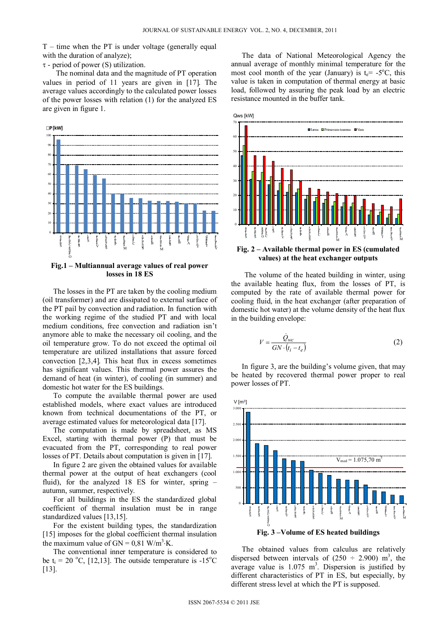$T$  – time when the PT is under voltage (generally equal with the duration of analyze);

 $\tau$  - period of power (S) utilization.

The nominal data and the magnitude of PT operation values in period of 11 years are given in [17]. The average values accordingly to the calculated power losses of the power losses with relation (1) for the analyzed ES are given in figure 1.



## **Fig.1 – Multiannual average values of real power losses in 18 ES**

The losses in the PT are taken by the cooling medium (oil transformer) and are dissipated to external surface of the PT pail by convection and radiation. In function with the working regime of the studied PT and with local medium conditions, free convection and radiation isn't anymore able to make the necessary oil cooling, and the oil temperature grow. To do not exceed the optimal oil temperature are utilized installations that assure forced convection 2,3,4. This heat flux in excess sometimes has significant values. This thermal power assures the demand of heat (in winter), of cooling (in summer) and domestic hot water for the ES buildings.

To compute the available thermal power are used established models, where exact values are introduced known from technical documentations of the PT, or average estimated values for meteorological data [17].

The computation is made by spreadsheet, as MS Excel, starting with thermal power (P) that must be evacuated from the PT, corresponding to real power losses of PT. Details about computation is given in [17].

In figure 2 are given the obtained values for available thermal power at the output of heat exchangers (cool fluid), for the analyzed 18 ES for winter, spring – autumn, summer, respectively.

For all buildings in the ES the standardized global coefficient of thermal insulation must be in range standardized values [13,15].

For the existent building types, the standardization [15] imposes for the global coefficient thermal insulation the maximum value of  $GN = 0.81$  W/m<sup>3</sup>·K.

The conventional inner temperature is considered to be  $t_i = 20$  °C, [12,13]. The outside temperature is -15°C [13].

The data of National Meteorological Agency the annual average of monthly minimal temperature for the most cool month of the year (January) is  $t_e$  = -5°C, this value is taken in computation of thermal energy at basic load, followed by assuring the peak load by an electric resistance mounted in the buffer tank.



# **Fig. 2 – Available thermal power in ES (cumulated values) at the heat exchanger outputs**

The volume of the heated building in winter, using the available heating flux, from the losses of PT, is computed by the rate of available thermal power for cooling fluid, in the heat exchanger (after preparation of domestic hot water) at the volume density of the heat flux in the building envelope:

$$
V = \frac{\dot{Q}_{wc}}{GN \cdot (t_i - t_e)}
$$
 (2)

 In figure 3, are the building's volume given, that may be heated by recovered thermal power proper to real power losses of PT.



 The obtained values from calculus are relatively dispersed between intervals of  $(250 \div 2.900)$  m<sup>3</sup>, the average value is  $1.075 \text{ m}^3$ . Dispersion is justified by different characteristics of PT in ES, but especially, by different stress level at which the PT is supposed.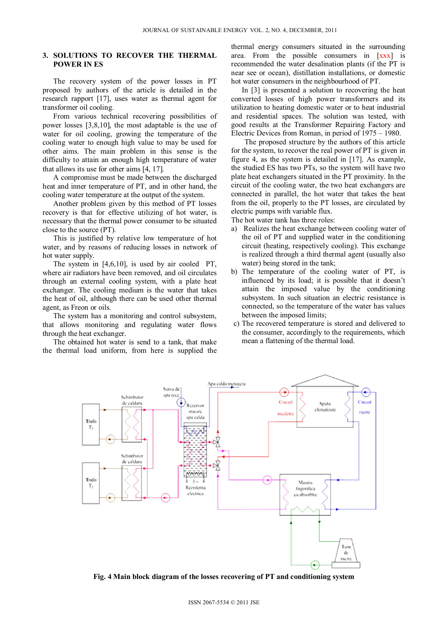# **3. SOLUTIONS TO RECOVER THE THERMAL POWER IN ES**

The recovery system of the power losses in PT proposed by authors of the article is detailed in the research rapport [17], uses water as thermal agent for transformer oil cooling.

From various technical recovering possibilities of power losses  $[3,8,10]$ , the most adaptable is the use of water for oil cooling, growing the temperature of the cooling water to enough high value to may be used for other aims. The main problem in this sense is the difficulty to attain an enough high temperature of water that allows its use for other aims  $[4, 17]$ .

A compromise must be made between the discharged heat and inner temperature of PT, and in other hand, the cooling water temperature at the output of the system.

Another problem given by this method of PT losses recovery is that for effective utilizing of hot water, is necessary that the thermal power consumer to be situated close to the source (PT).

This is justified by relative low temperature of hot water, and by reasons of reducing losses in network of hot water supply.

The system in [4,6,10], is used by air cooled PT, where air radiators have been removed, and oil circulates through an external cooling system, with a plate heat exchanger. The cooling medium is the water that takes the heat of oil, although there can be used other thermal agent, as Freon or oils.

The system has a monitoring and control subsystem, that allows monitoring and regulating water flows through the heat exchanger.

The obtained hot water is send to a tank, that make the thermal load uniform, from here is supplied the thermal energy consumers situated in the surrounding area. From the possible consumers in [xxx] is recommended the water desalination plants (if the PT is near see or ocean), distillation installations, or domestic hot water consumers in the neighbourhood of PT.

In [3] is presented a solution to recovering the heat converted losses of high power transformers and its utilization to heating domestic water or to heat industrial and residential spaces. The solution was tested, with good results at the Transformer Repairing Factory and Electric Devices from Roman, in period of 1975 – 1980.

The proposed structure by the authors of this article for the system, to recover the real power of PT is given in figure 4, as the system is detailed in [17]. As example, the studied ES has two PTs, so the system will have two plate heat exchangers situated in the PT proximity. In the circuit of the cooling water, the two heat exchangers are connected in parallel, the hot water that takes the heat from the oil, properly to the PT losses, are circulated by electric pumps with variable flux.

The hot water tank has three roles:

- a) Realizes the heat exchange between cooling water of the oil of PT and supplied water in the conditioning circuit (heating, respectively cooling). This exchange is realized through a third thermal agent (usually also water) being stored in the tank;
- b) The temperature of the cooling water of PT, is influenced by its load; it is possible that it doesn't attain the imposed value by the conditioning subsystem. In such situation an electric resistance is connected, so the temperature of the water has values between the imposed limits;
- c) The recovered temperature is stored and delivered to the consumer, accordingly to the requirements, which mean a flattening of the thermal load.



**Fig. 4 Main block diagram of the losses recovering of PT and conditioning system**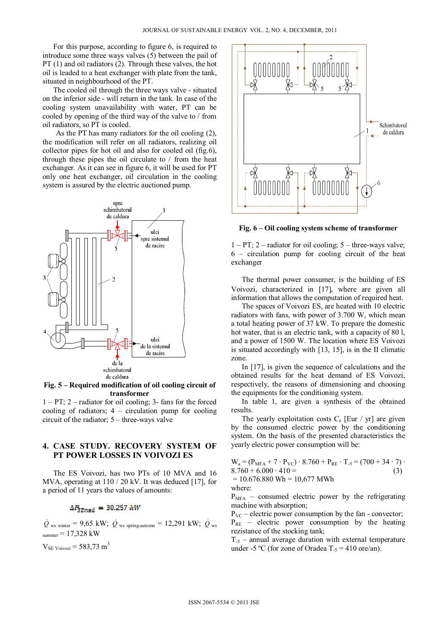For this purpose, according to figure 6, is required to introduce some three ways valves (5) between the pail of PT (1) and oil radiators (2). Through these valves, the hot oil is leaded to a heat exchanger with plate from the tank, situated in neighbourhood of the PT.

The cooled oil through the three ways valve - situated on the inferior side - will return in the tank. In case of the cooling system unavailability with water, PT can be cooled by opening of the third way of the valve to / from oil radiators, so PT is cooled.

As the PT has many radiators for the oil cooling (2), the modification will refer on all radiators, realizing oil collector pipes for hot oil and also for cooled oil (fig.6), through these pipes the oil circulate to / from the heat exchanger. As it can see in figure 6, it will be used for PT only one heat exchanger, oil circulation in the cooling system is assured by the electric auctioned pump.



**Fig. 5 – Required modification of oil cooling circuit of transformer**

1 – PT; 2 – radiator for oil cooling; 3- fans for the forced cooling of radiators;  $4$  – circulation pump for cooling circuit of the radiator; 5 – three-ways valve

# **4. CASE STUDY. RECOVERY SYSTEM OF PT POWER LOSSES IN VOIVOZI ES**

The ES Voivozi, has two PTs of 10 MVA and 16 MVA, operating at 110 / 20 kV. It was deduced [17], for a period of 11 years the values of amounts:

# $\Delta P_{S Rmed} = 30.257 \text{ kW}$

 $\dot{Q}$  ws winter = 9,65 kW;  $\dot{Q}$  ws spring-automn = 12,291 kW;  $\dot{Q}$  ws  $s<sub>sumer</sub> = 17,328$  kW

 $V_{SE \text{Voivozi}} = 583,73 \text{ m}^3$ 



**Fig. 6 – Oil cooling system scheme of transformer** 

 $1 - PT$ ; 2 – radiator for oil cooling; 5 – three-ways valve; 6 – circulation pump for cooling circuit of the heat exchanger

The thermal power consumer, is the building of ES Voivozi, characterized in [17], where are given all information that allows the computation of required heat.

The spaces of Voivozi ES, are heated with 10 electric radiators with fans, with power of 3.700 W, which mean a total heating power of 37 kW. To prepare the domestic hot water, that is an electric tank, with a capacity of 80 l, and a power of 1500 W. The location where ES Voivozi is situated accordingly with [13, 15], is in the II climatic zone.

In [17], is given the sequence of calculations and the obtained results for the heat demand of ES Voivozi, respectively, the reasons of dimensioning and choosing the equipments for the conditioning system.

In table 1, are given a synthesis of the obtained results.

The yearly exploitation costs  $C_e$  [Eur / yr] are given by the consumed electric power by the conditioning system. On the basis of the presented characteristics the yearly electric power consumption will be:

| $W_a = (P_{MFA} + 7 \cdot P_{VC}) \cdot 8.760 + P_{RE} \cdot T_{-5} = (700 + 34 \cdot 7) \cdot$ |     |
|-------------------------------------------------------------------------------------------------|-----|
| $8.760 + 6.000 \cdot 410 =$                                                                     | (3) |
| $= 10.676.880$ Wh = 10,677 MWh                                                                  |     |
| where:                                                                                          |     |
|                                                                                                 |     |

 $P<sub>MFA</sub>$  – consumed electric power by the refrigerating machine with absorption;

 $P_{VC}$  – electric power consumption by the fan - convector;  $P_{RE}$  – electric power consumption by the heating rezistance of the stocking tank;

 $T_{-5}$  – annual average duration with external temperature under -5 °C (for zone of Oradea  $T_5 = 410$  ore/an).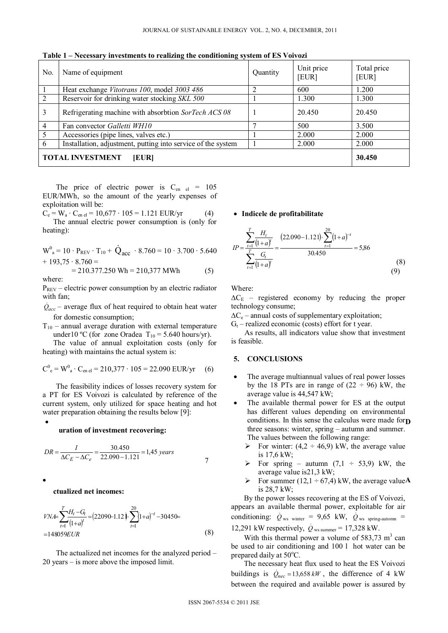|                | $\cdot$<br>. .                                               |          |                     |                      |
|----------------|--------------------------------------------------------------|----------|---------------------|----------------------|
| No.            | Name of equipment                                            | Quantity | Unit price<br>[EUR] | Total price<br>[EUR] |
|                | Heat exchange Vitotrans 100, model 3003 486                  |          | 600                 | 1.200                |
| 2              | Reservoir for drinking water stocking SKL 500                |          | 1.300               | 1.300                |
| 3              | Refrigerating machine with absorbtion SorTech ACS 08         |          | 20.450              | 20.450               |
| $\overline{4}$ | Fan convector Galletti WH10                                  |          | 500                 | 3.500                |
| 5              | Accessories (pipe lines, valves etc.)                        |          | 2.000               | 2.000                |
| 6              | Installation, adjustment, putting into service of the system |          | 2.000               | 2.000                |
|                | <b>TOTAL INVESTMENT</b><br>[EUR]                             |          |                     | 30.450               |

**Table 1 – Necessary investments to realizing the conditioning system of ES Voivozi** 

The price of electric power is  $C_{en}$   $_{el}$  = 105 EUR/MWh, so the amount of the yearly expenses of exploitation will be:

 $C_e = W_a \cdot C_{en \text{ el}} = 10{,}677 \cdot 105 = 1.121 \text{ EUR/yr}$  (4) The annual electric power consumption is (only for heating):

$$
W^{0}_{a} = 10 \cdot P_{REV} \cdot T_{10} + \dot{Q}_{acc} \cdot 8.760 = 10 \cdot 3.700 \cdot 5.640
$$
  
+ 193 75 \cdot 8 760 =

$$
= 210.377.250 \text{ Wh} = 210,377 \text{ MWh}
$$
 (5)  
where:

 $P_{REV}$  – electric power consumption by an electric radiator with fan;

 $\dot{Q}_{acc}$  – average flux of heat required to obtain heat water for domestic consumption;

 $T_{10}$  – annual average duration with external temperature under10 °C (for zone Oradea  $T_{10} = 5.640$  hours/yr).

The value of annual exploitation costs (only for heating) with maintains the actual system is:

$$
C^0_e = W^0_a \cdot C_{en\,el} = 210,377 \cdot 105 = 22.090 \text{ EUR/yr} \quad (6)
$$

The feasibility indices of losses recovery system for a PT for ES Voivozi is calculated by reference of the current system, only utilized for space heating and hot water preparation obtaining the results below [9]:

#### **uration of investment recovering:**

$$
DR = \frac{I}{\Delta C_E - \Delta C_e} = \frac{30.450}{22.090 - 1.121} = 1,45 \text{ years}
$$

#### **ctualized net incomes:**

$$
V N \n\mathcal{F} = \sum_{t=1}^{T} \frac{H_t - G_t}{(1+a)^t} = (22090 - 1.12) \cdot \sum_{t=1}^{20} (1+a)^{-t} - 30450 = 148059 EUR
$$
\n(8)

The actualized net incomes for the analyzed period – 20 years – is more above the imposed limit.

### **Indicele de profitabilitate**

heating):  
\n
$$
W^{0}_{a} = 10 \cdot P_{REV} \cdot T_{10} + \dot{Q}_{acc} \cdot 8.760 = 10 \cdot 3.700 \cdot 5.640
$$
\n
$$
H^{0} = \frac{\sum_{t=1}^{T} \frac{H_{t}}{(1+a)^{t}}}{T_{t}} = \frac{(22.090 - 1.121) \cdot \sum_{t=1}^{20} (1+a)^{-t}}{30.450} = 5,86
$$
\n
$$
= 210.377.250 \text{ Wh} = 210,377 \text{ MWh}
$$
\n(8)

Where:

 $\Delta C_{\rm E}$  – registered economy by reducing the proper technology consume;

 $\Delta C_e$  – annual costs of supplementary exploitation;

 $G_t$  – realized economic (costs) effort for t year.

 As results, all indicators value show that investment is feasible.

## **5. CONCLUSIONS**

- The average multiannual values of real power losses by the 18 PTs are in range of  $(22 \div 96)$  kW, the average value is 44,547 kW;
- **•** conditions. In this sense the calculus were made for **p**  The available thermal power for ES at the output has different values depending on environmental three seasons: winter, spring – autumn and summer. The values between the following range:
	- For winter:  $(4,2 \div 46,9)$  kW, the average value is 17,6 kW;
	- For spring autumn  $(7,1 \div 53,9)$  kW, the average value is21,3 kW;
- **A** For summer  $(12,1 \div 67,4)$  kW, the average valueA is 28,7 kW;

By the power losses recovering at the ES of Voivozi, appears an available thermal power, exploitable for air conditioning:  $\dot{Q}_{\text{ws winter}} = 9.65$  kW,  $\dot{Q}_{\text{ws spring-autom}} =$ 12,291 kW respectively,  $\dot{Q}_{\text{ws summer}} = 17,328 \text{ kW}$ .

With this thermal power a volume of  $583,73 \text{ m}^3$  can be used to air conditioning and 100 l hot water can be prepared daily at 50°C.

The necessary heat flux used to heat the ES Voivozi buildings is  $\dot{Q}_{\text{nec}} = 13,658 \, \text{kW}$ , the difference of 4 kW between the required and available power is assured by